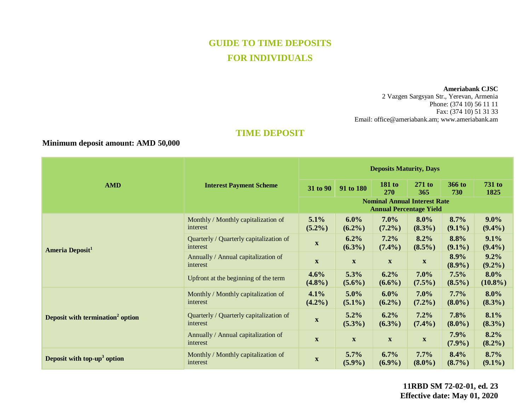# **GUIDE TO TIME DEPOSITS FOR INDIVIDUALS**

#### **Ameriabank CJSC**

2 Vazgen Sargsyan Str., Yerevan, Armenia Phone: (374 10) 56 11 11 Fax: (374 10) 51 31 33 Email: [office@ameriabank.am;](mailto:office@ameriabank.am) www.ameriabank.am

## **TIME DEPOSIT**

## **Minimum deposit amount: AMD 50,000**

| <b>AMD</b>                                   |                                                     |                                                                       | <b>Deposits Maturity, Days</b> |                           |                           |                   |                       |
|----------------------------------------------|-----------------------------------------------------|-----------------------------------------------------------------------|--------------------------------|---------------------------|---------------------------|-------------------|-----------------------|
|                                              | <b>Interest Payment Scheme</b>                      | 31 to 90                                                              | 91 to 180                      | <b>181 to</b><br>270      | $271$ to<br>365           | 366 to<br>730     | <b>731 to</b><br>1825 |
|                                              |                                                     | <b>Nominal Annual Interest Rate</b><br><b>Annual Percentage Yield</b> |                                |                           |                           |                   |                       |
| Ameria Deposit <sup>1</sup>                  | Monthly / Monthly capitalization of<br>interest     | 5.1%<br>$(5.2\%)$                                                     | $6.0\%$<br>$(6.2\%)$           | 7.0%<br>$(7.2\%)$         | $8.0\%$<br>$(8.3\%)$      | 8.7%<br>$(9.1\%)$ | $9.0\%$<br>$(9.4\%)$  |
|                                              | Quarterly / Quarterly capitalization of<br>interest | $\mathbf{X}$                                                          | 6.2%<br>$(6.3\%)$              | 7.2%<br>$(7.4\%)$         | 8.2%<br>$(8.5\%)$         | 8.8%<br>$(9.1\%)$ | 9.1%<br>$(9.4\%)$     |
|                                              | Annually / Annual capitalization of<br>interest     | $\boldsymbol{\mathrm{X}}$                                             | $\mathbf{X}$                   | $\boldsymbol{\mathrm{X}}$ | $\boldsymbol{\mathrm{X}}$ | 8.9%<br>$(8.9\%)$ | $9.2\%$<br>$(9.2\%)$  |
|                                              | Upfront at the beginning of the term                | 4.6%<br>$(4.8\%)$                                                     | 5.3%<br>$(5.6\%)$              | 6.2%<br>$(6.6\%)$         | $7.0\%$<br>$(7.5\%)$      | 7.5%<br>$(8.5\%)$ | $8.0\%$<br>$(10.8\%)$ |
| Deposit with termination <sup>2</sup> option | Monthly / Monthly capitalization of<br>interest     | 4.1%<br>$(4.2\%)$                                                     | $5.0\%$<br>$(5.1\%)$           | 6.0%<br>$(6.2\%)$         | $7.0\%$<br>$(7.2\%)$      | 7.7%<br>$(8.0\%)$ | $8.0\%$<br>$(8.3\%)$  |
|                                              | Quarterly / Quarterly capitalization of<br>interest | $\mathbf X$                                                           | 5.2%<br>$(5.3\%)$              | 6.2%<br>$(6.3\%)$         | 7.2%<br>$(7.4\%)$         | 7.8%<br>$(8.0\%)$ | 8.1%<br>$(8.3\%)$     |
|                                              | Annually / Annual capitalization of<br>interest     | $\mathbf{X}$                                                          | $\mathbf{X}$                   | $\mathbf{X}$              | $\mathbf X$               | 7.9%<br>$(7.9\%)$ | 8.2%<br>$(8.2\%)$     |
| Deposit with top-up <sup>3</sup> option      | Monthly / Monthly capitalization of<br>interest     | $\mathbf{X}$                                                          | 5.7%<br>$(5.9\%)$              | 6.7%<br>$(6.9\%)$         | 7.7%<br>$(8.0\%)$         | 8.4%<br>$(8.7\%)$ | 8.7%<br>$(9.1\%)$     |

**11RBD SM 72-02-01, ed. 23 Effective date: May 01, 2020**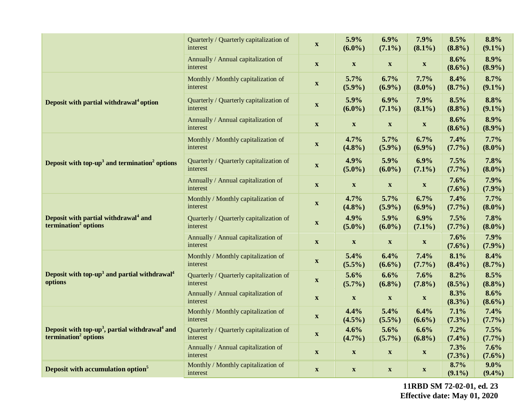|                                                                                                            | Quarterly / Quarterly capitalization of<br>interest | $\mathbf{X}$              | 5.9%<br>$(6.0\%)$         | 6.9%<br>$(7.1\%)$         | 7.9%<br>$(8.1\%)$         | 8.5%<br>(8.8%)    | 8.8%<br>$(9.1\%)$    |
|------------------------------------------------------------------------------------------------------------|-----------------------------------------------------|---------------------------|---------------------------|---------------------------|---------------------------|-------------------|----------------------|
|                                                                                                            | Annually / Annual capitalization of<br>interest     | $\mathbf{X}$              | $\mathbf{X}$              | $\boldsymbol{\mathrm{X}}$ | $\boldsymbol{\mathrm{X}}$ | 8.6%<br>$(8.6\%)$ | 8.9%<br>(8.9%)       |
|                                                                                                            | Monthly / Monthly capitalization of<br>interest     | $\boldsymbol{\mathrm{X}}$ | 5.7%<br>(5.9%)            | 6.7%<br>(6.9%)            | 7.7%<br>$(8.0\%)$         | 8.4%<br>$(8.7\%)$ | 8.7%<br>$(9.1\%)$    |
| Deposit with partial withdrawal <sup>4</sup> option                                                        | Quarterly / Quarterly capitalization of<br>interest | $\mathbf{X}$              | 5.9%<br>$(6.0\%)$         | 6.9%<br>$(7.1\%)$         | 7.9%<br>$(8.1\%)$         | 8.5%<br>$(8.8\%)$ | 8.8%<br>$(9.1\%)$    |
|                                                                                                            | Annually / Annual capitalization of<br>interest     | $\mathbf X$               | $\mathbf X$               | $\mathbf X$               | $\boldsymbol{\mathrm{X}}$ | 8.6%<br>$(8.6\%)$ | 8.9%<br>(8.9%)       |
| Deposit with top- $up3$ and termination <sup>2</sup> options                                               | Monthly / Monthly capitalization of<br>interest     | $\mathbf{X}$              | 4.7%<br>(4.8%)            | 5.7%<br>(5.9%)            | 6.7%<br>$(6.9\%)$         | 7.4%<br>$(7.7\%)$ | 7.7%<br>$(8.0\%)$    |
|                                                                                                            | Quarterly / Quarterly capitalization of<br>interest | $\boldsymbol{\mathrm{X}}$ | 4.9%<br>$(5.0\%)$         | 5.9%<br>$(6.0\%)$         | 6.9%<br>$(7.1\%)$         | 7.5%<br>$(7.7\%)$ | 7.8%<br>$(8.0\%)$    |
|                                                                                                            | Annually / Annual capitalization of<br>interest     | $\mathbf{X}$              | $\mathbf X$               | $\boldsymbol{\mathrm{X}}$ | $\boldsymbol{\mathrm{X}}$ | 7.6%<br>$(7.6\%)$ | 7.9%<br>(7.9%)       |
| Deposit with partial withdrawal <sup>4</sup> and<br>termination <sup>2</sup> options                       | Monthly / Monthly capitalization of<br>interest     | $\boldsymbol{\mathrm{X}}$ | 4.7%<br>(4.8%)            | 5.7%<br>(5.9%)            | 6.7%<br>$(6.9\%)$         | 7.4%<br>(7.7%)    | 7.7%<br>$(8.0\%)$    |
|                                                                                                            | Quarterly / Quarterly capitalization of<br>interest | $\mathbf{X}$              | 4.9%<br>$(5.0\%)$         | 5.9%<br>$(6.0\%)$         | 6.9%<br>$(7.1\%)$         | 7.5%<br>$(7.7\%)$ | 7.8%<br>$(8.0\%)$    |
|                                                                                                            | Annually / Annual capitalization of<br>interest     | $\boldsymbol{\mathrm{X}}$ | $\mathbf{X}$              | $\boldsymbol{\mathrm{X}}$ | $\boldsymbol{\mathrm{X}}$ | 7.6%<br>$(7.6\%)$ | 7.9%<br>$(7.9\%)$    |
| Deposit with top-up <sup>3</sup> and partial withdrawal <sup>4</sup><br>options                            | Monthly / Monthly capitalization of<br>interest     | $\mathbf X$               | 5.4%<br>$(5.5\%)$         | 6.4%<br>$(6.6\%)$         | 7.4%<br>$(7.7\%)$         | 8.1%<br>$(8.4\%)$ | 8.4%<br>$(8.7\%)$    |
|                                                                                                            | Quarterly / Quarterly capitalization of<br>interest | $\mathbf{X}$              | 5.6%<br>$(5.7\%)$         | 6.6%<br>$(6.8\%)$         | 7.6%<br>$(7.8\%)$         | 8.2%<br>$(8.5\%)$ | 8.5%<br>(8.8%)       |
|                                                                                                            | Annually / Annual capitalization of<br>interest     | $\mathbf{X}$              | $\mathbf X$               | $\mathbf X$               | $\boldsymbol{\mathrm{X}}$ | 8.3%<br>$(8.3\%)$ | 8.6%<br>$(8.6\%)$    |
| Deposit with top-up <sup>3</sup> , partial withdrawal <sup>4</sup> and<br>termination <sup>2</sup> options | Monthly / Monthly capitalization of<br>interest     | $\mathbf X$               | 4.4%<br>$(4.5\%)$         | 5.4%<br>$(5.5\%)$         | 6.4%<br>$(6.6\%)$         | 7.1%<br>$(7.3\%)$ | 7.4%<br>(7.7%)       |
|                                                                                                            | Quarterly / Quarterly capitalization of<br>interest | $\boldsymbol{\mathrm{X}}$ | 4.6%<br>$(4.7\%)$         | 5.6%<br>$(5.7\%)$         | 6.6%<br>$(6.8\%)$         | 7.2%<br>$(7.4\%)$ | 7.5%<br>(7.7%)       |
|                                                                                                            | Annually / Annual capitalization of<br>interest     | $\boldsymbol{\mathrm{X}}$ | $\boldsymbol{\mathrm{X}}$ | $\boldsymbol{\mathrm{X}}$ | $\boldsymbol{\mathrm{X}}$ | 7.3%<br>$(7.3\%)$ | 7.6%<br>$(7.6\%)$    |
| Deposit with accumulation option <sup>5</sup>                                                              | Monthly / Monthly capitalization of<br>interest     | $\mathbf{X}$              | $\boldsymbol{\mathrm{X}}$ | $\boldsymbol{\mathrm{X}}$ | $\mathbf{X}$              | 8.7%<br>$(9.1\%)$ | $9.0\%$<br>$(9.4\%)$ |

**11RBD SM 72-02-01, ed. 23 Effective date: May 01, 2020**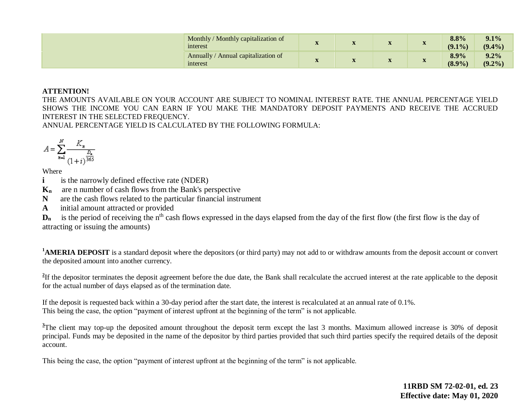| Monthly / Monthly capitalization of<br>interest   |              | T                         | $x^2$<br>$\mathbf{A}$ | T<br>$\mathbf{A}$     | 8.8%<br>$(9.1\%)$ | 9.1%<br>$(9.4\%)$    |
|---------------------------------------------------|--------------|---------------------------|-----------------------|-----------------------|-------------------|----------------------|
| Annually/<br>Annual capitalization of<br>interest | $\mathbf{z}$ | $\mathbf{w}$<br>$\Lambda$ | T<br>$\Lambda$        | $-27$<br>$\mathbf{A}$ | 8.9%<br>(8.9%)    | $9.2\%$<br>$(9.2\%)$ |

#### **ATTENTION!**

THE AMOUNTS AVAILABLE ON YOUR ACCOUNT ARE SUBJECT TO NOMINAL INTEREST RATE. THE ANNUAL PERCENTAGE YIELD SHOWS THE INCOME YOU CAN EARN IF YOU MAKE THE MANDATORY DEPOSIT PAYMENTS AND RECEIVE THE ACCRUED INTEREST IN THE SELECTED FREQUENCY.

ANNUAL PERCENTAGE YIELD IS CALCULATED BY THE FOLLOWING FORMULA:

$$
A = \sum_{n=1}^{N} \frac{K_n}{\frac{D_n}{(1+i)^{\frac{D_n}{365}}}}
$$

Where

**i is the narrowly defined effective rate (NDER)** 

**Kn** are n number of cash flows from the Bank's perspective

**N** are the cash flows related to the particular financial instrument

**A** initial amount attracted or provided

D<sub>n</sub> is the period of receiving the n<sup>th</sup> cash flows expressed in the days elapsed from the day of the first flow (the first flow is the day of attracting or issuing the amounts)

**<sup>1</sup>AMERIA DEPOSIT** is a standard deposit where the depositors (or third party) may not add to or withdraw amounts from the deposit account or convert the deposited amount into another currency.

<sup>2</sup>If the depositor terminates the deposit agreement before the due date, the Bank shall recalculate the accrued interest at the rate applicable to the deposit for the actual number of days elapsed as of the termination date.

If the deposit is requested back within a 30-day period after the start date, the interest is recalculated at an annual rate of 0.1%. This being the case, the option "payment of interest upfront at the beginning of the term" is not applicable.

<sup>3</sup>The client may top-up the deposited amount throughout the deposit term except the last 3 months. Maximum allowed increase is 30% of deposit principal. Funds may be deposited in the name of the depositor by third parties provided that such third parties specify the required details of the deposit account.

This being the case, the option "payment of interest upfront at the beginning of the term" is not applicable.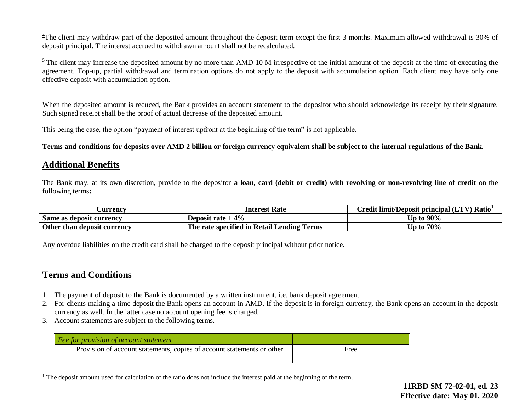<sup>4</sup>The client may withdraw part of the deposited amount throughout the deposit term except the first 3 months. Maximum allowed withdrawal is 30% of deposit principal. The interest accrued to withdrawn amount shall not be recalculated.

<sup>5</sup>The client may increase the deposited amount by no more than AMD 10 M irrespective of the initial amount of the deposit at the time of executing the agreement. Top-up, partial withdrawal and termination options do not apply to the deposit with accumulation option. Each client may have only one effective deposit with accumulation option.

When the deposited amount is reduced, the Bank provides an account statement to the depositor who should acknowledge its receipt by their signature. Such signed receipt shall be the proof of actual decrease of the deposited amount.

This being the case, the option "payment of interest upfront at the beginning of the term" is not applicable.

### **Terms and conditions for deposits over AMD 2 billion or foreign currency equivalent shall be subject to the internal regulations of the Bank.**

## **Additional Benefits**

The Bank may, at its own discretion, provide to the depositor **a loan, card (debit or credit) with revolving or non-revolving line of credit** on the following terms**:** 

| <b>Currency</b>             | <b>Interest Rate</b>                                 | Credit limit/Deposit principal (LTV) Ratio |  |  |  |
|-----------------------------|------------------------------------------------------|--------------------------------------------|--|--|--|
| Same as deposit currency    | Deposit rate $+4\%$                                  | Up to $90\%$                               |  |  |  |
| Other than deposit currency | The rate specified in Retail Lending<br><b>Terms</b> | Up to $70\%$                               |  |  |  |

Any overdue liabilities on the credit card shall be charged to the deposit principal without prior notice.

## **Terms and Conditions**

 $\overline{a}$ 

- 1. The payment of deposit to the Bank is documented by a written instrument, i.e. bank deposit agreement.
- 2. For clients making a time deposit the Bank opens an account in AMD. If the deposit is in foreign currency, the Bank opens an account in the deposit currency as well. In the latter case no account opening fee is charged.
- 3. Account statements are subject to the following terms.

| $\vert$ Fee for provision of account statement                         |      |
|------------------------------------------------------------------------|------|
| Provision of account statements, copies of account statements or other | Free |

<sup>&</sup>lt;sup>1</sup> The deposit amount used for calculation of the ratio does not include the interest paid at the beginning of the term.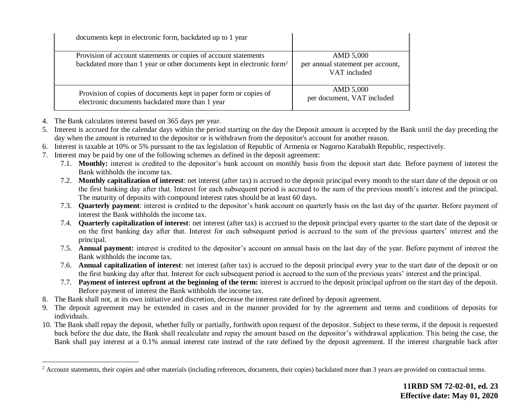| documents kept in electronic form, backdated up to 1 year                                                           |                                                   |
|---------------------------------------------------------------------------------------------------------------------|---------------------------------------------------|
| Provision of account statements or copies of account statements                                                     | AMD 5,000                                         |
| backdated more than 1 year or other documents kept in electronic form <sup>2</sup>                                  | per annual statement per account,<br>VAT included |
| Provision of copies of documents kept in paper form or copies of<br>electronic documents backdated more than 1 year | AMD 5,000<br>per document, VAT included           |

4. The Bank calculates interest based on 365 days per year.

 $\overline{a}$ 

- 5. Interest is accrued for the calendar days within the period starting on the day the Deposit amount is accepted by the Bank until the day preceding the day when the amount is returned to the depositor or is withdrawn from the depositor's account for another reason.
- 6. Interest is taxable at 10% or 5% pursuant to the tax legislation of Republic of Armenia or Nagorno Karabakh Republic, respectively.
- 7. Interest may be paid by one of the following schemes as defined in the deposit agreement:
	- 7.1. **Monthly:** interest is credited to the depositor's bank account on monthly basis from the deposit start date. Before payment of interest the Bank withholds the income tax.
	- 7.2. **Monthly capitalization of interest**: net interest (after tax) is accrued to the deposit principal every month to the start date of the deposit or on the first banking day after that. Interest for each subsequent period is accrued to the sum of the previous month's interest and the principal. The maturity of deposits with compound interest rates should be at least 60 days.
	- 7.3. **Quarterly payment**: interest is credited to the depositor's bank account on quarterly basis on the last day of the quarter. Before payment of interest the Bank withholds the income tax.
	- 7.4. **Quarterly capitalization of interest**: net interest (after tax) is accrued to the deposit principal every quarter to the start date of the deposit or on the first banking day after that. Interest for each subsequent period is accrued to the sum of the previous quarters' interest and the principal.
	- 7.5. **Annual payment:** interest is credited to the depositor's account on annual basis on the last day of the year. Before payment of interest the Bank withholds the income tax.
	- 7.6. **Annual capitalization of interest**: net interest (after tax) is accrued to the deposit principal every year to the start date of the deposit or on the first banking day after that. Interest for each subsequent period is accrued to the sum of the previous years' interest and the principal.
	- 7.7. **Payment of interest upfront at the beginning of the term:** interest is accrued to the deposit principal upfront on the start day of the deposit. Before payment of interest the Bank withholds the income tax.
- 8. The Bank shall not, at its own initiative and discretion, decrease the interest rate defined by deposit agreement.
- 9. The deposit agreement may be extended in cases and in the manner provided for by the agreement and terms and conditions of deposits for individuals.
- 10. The Bank shall repay the deposit, whether fully or partially, forthwith upon request of the depositor. Subject to these terms, if the deposit is requested back before the due date, the Bank shall recalculate and repay the amount based on the depositor's withdrawal application. This being the case, the Bank shall pay interest at a 0.1% annual interest rate instead of the rate defined by the deposit agreement. If the interest chargeable back after

<sup>&</sup>lt;sup>2</sup> Account statements, their copies and other materials (including references, documents, their copies) backdated more than 3 years are provided on contractual terms.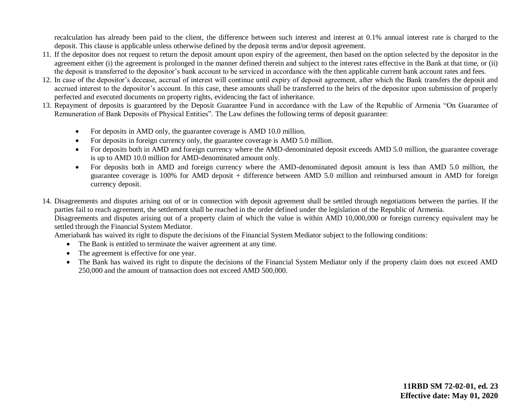recalculation has already been paid to the client, the difference between such interest and interest at 0.1% annual interest rate is charged to the deposit. This clause is applicable unless otherwise defined by the deposit terms and/or deposit agreement.

- 11. If the depositor does not request to return the deposit amount upon expiry of the agreement, then based on the option selected by the depositor in the agreement either (i) the agreement is prolonged in the manner defined therein and subject to the interest rates effective in the Bank at that time, or (ii) the deposit is transferred to the depositor's bank account to be serviced in accordance with the then applicable current bank account rates and fees.
- 12. In case of the depositor's decease, accrual of interest will continue until expiry of deposit agreement, after which the Bank transfers the deposit and accrued interest to the depositor's account. In this case, these amounts shall be transferred to the heirs of the depositor upon submission of properly perfected and executed documents on property rights, evidencing the fact of inheritance.
- 13. Repayment of deposits is guaranteed by the Deposit Guarantee Fund in accordance with the Law of the Republic of Armenia "On Guarantee of Remuneration of Bank Deposits of Physical Entities". The Law defines the following terms of deposit guarantee:
	- For deposits in AMD only, the guarantee coverage is AMD 10.0 million.
	- For deposits in foreign currency only, the guarantee coverage is AMD 5.0 million.
	- For deposits both in AMD and foreign currency where the AMD-denominated deposit exceeds AMD 5.0 million, the guarantee coverage is up to AMD 10.0 million for AMD-denominated amount only.
	- For deposits both in AMD and foreign currency where the AMD-denominated deposit amount is less than AMD 5.0 million, the guarantee coverage is 100% for AMD deposit + difference between AMD 5.0 million and reimbursed amount in AMD for foreign currency deposit.
- 14. Disagreements and disputes arising out of or in connection with deposit agreement shall be settled through negotiations between the parties. If the parties fail to reach agreement, the settlement shall be reached in the order defined under the legislation of the Republic of Armenia.

Disagreements and disputes arising out of a property claim of which the value is within AMD 10,000,000 or foreign currency equivalent may be settled through the Financial System Mediator.

Ameriabank has waived its right to dispute the decisions of the Financial System Mediator subject to the following conditions:

- The Bank is entitled to terminate the waiver agreement at any time.
- The agreement is effective for one year.
- The Bank has waived its right to dispute the decisions of the Financial System Mediator only if the property claim does not exceed AMD 250,000 and the amount of transaction does not exceed AMD 500,000.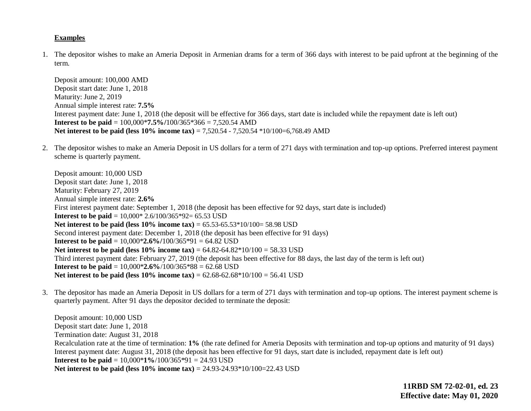### **Examples**

1. The depositor wishes to make an Ameria Deposit in Armenian drams for a term of 366 days with interest to be paid upfront at the beginning of the term.

Deposit amount: 100,000 AMD Deposit start date: June 1, 2018 Maturity: June 2, 2019 Annual simple interest rate: **7.5%** Interest payment date: June 1, 2018 (the deposit will be effective for 366 days, start date is included while the repayment date is left out) **Interest to be paid** = 100,000\***7.5%/**100/365\*366 = 7,520.54 AMD **Net interest to be paid (less 10% income tax)** = 7,520.54 - 7,520.54 \*10/100=6,768.49 AMD

2. The depositor wishes to make an Ameria Deposit in US dollars for a term of 271 days with termination and top-up options. Preferred interest payment scheme is quarterly payment.

Deposit amount: 10,000 USD Deposit start date: June 1, 2018 Maturity: February 27, 2019 Annual simple interest rate: **2.6%** First interest payment date: September 1, 2018 (the deposit has been effective for 92 days, start date is included) **Interest to be paid** = 10,000\* 2.6/100/365\*92= 65.53 USD **Net interest to be paid (less 10% income tax)** = 65.53-65.53\*10/100= 58.98 USD Second interest payment date: December 1, 2018 (the deposit has been effective for 91 days) **Interest to be paid** =  $10,000*2.6\%/100/365*91 = 64.82$  USD **Net interest to be paid (less 10% income tax)** = 64.82-64.82\*10/100 = 58.33 USD Third interest payment date: February 27, 2019 (the deposit has been effective for 88 days, the last day of the term is left out) **Interest to be paid** =  $10,000*2.6\%/100/365*88 = 62.68$  USD **Net interest to be paid (less 10% income tax)** = 62.68-62.68\*10/100 = 56.41 USD

3. The depositor has made an Ameria Deposit in US dollars for a term of 271 days with termination and top-up options. The interest payment scheme is quarterly payment. After 91 days the depositor decided to terminate the deposit:

Deposit amount: 10,000 USD Deposit start date: June 1, 2018 Termination date: August 31, 2018 Recalculation rate at the time of termination: **1%** (the rate defined for Ameria Deposits with termination and top-up options and maturity of 91 days) Interest payment date: August 31, 2018 (the deposit has been effective for 91 days, start date is included, repayment date is left out) **Interest to be paid** = 10,000\***1%**/100/365\*91 = 24.93 USD **Net interest to be paid (less 10% income tax)** = 24.93-24.93\*10/100=22.43 USD

> **11RBD SM 72-02-01, ed. 23 Effective date: May 01, 2020**